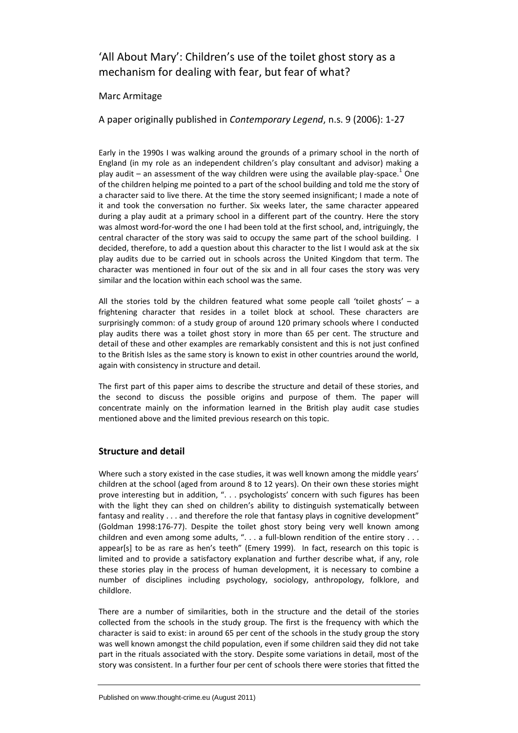# 'All About Mary': Children's use of the toilet ghost story as a mechanism for dealing with fear, but fear of what?

## Marc Armitage

## A paper originally published in *Contemporary Legend*, n.s. 9 (2006): 1-27

Early in the 1990s I was walking around the grounds of a primary school in the north of England (in my role as an independent children's play consultant and advisor) making a play audit – an assessment of the way children were using the available play-space. $^{1}$  One of the children helping me pointed to a part of the school building and told me the story of a character said to live there. At the time the story seemed insignificant; I made a note of it and took the conversation no further. Six weeks later, the same character appeared during a play audit at a primary school in a different part of the country. Here the story was almost word-for-word the one I had been told at the first school, and, intriguingly, the central character of the story was said to occupy the same part of the school building. I decided, therefore, to add a question about this character to the list I would ask at the six play audits due to be carried out in schools across the United Kingdom that term. The character was mentioned in four out of the six and in all four cases the story was very similar and the location within each school was the same.

All the stories told by the children featured what some people call 'toilet ghosts'  $- a$ frightening character that resides in a toilet block at school. These characters are surprisingly common: of a study group of around 120 primary schools where I conducted play audits there was a toilet ghost story in more than 65 per cent. The structure and detail of these and other examples are remarkably consistent and this is not just confined to the British Isles as the same story is known to exist in other countries around the world, again with consistency in structure and detail.

The first part of this paper aims to describe the structure and detail of these stories, and the second to discuss the possible origins and purpose of them. The paper will concentrate mainly on the information learned in the British play audit case studies mentioned above and the limited previous research on this topic.

### **Structure and detail**

Where such a story existed in the case studies, it was well known among the middle years' children at the school (aged from around 8 to 12 years). On their own these stories might prove interesting but in addition, ". . . psychologists' concern with such figures has been with the light they can shed on children's ability to distinguish systematically between fantasy and reality . . . and therefore the role that fantasy plays in cognitive development" (Goldman 1998:176-77). Despite the toilet ghost story being very well known among children and even among some adults, ". . . a full-blown rendition of the entire story . . . appear[s] to be as rare as hen's teeth" (Emery 1999). In fact, research on this topic is limited and to provide a satisfactory explanation and further describe what, if any, role these stories play in the process of human development, it is necessary to combine a number of disciplines including psychology, sociology, anthropology, folklore, and childlore.

There are a number of similarities, both in the structure and the detail of the stories collected from the schools in the study group. The first is the frequency with which the character is said to exist: in around 65 per cent of the schools in the study group the story was well known amongst the child population, even if some children said they did not take part in the rituals associated with the story. Despite some variations in detail, most of the story was consistent. In a further four per cent of schools there were stories that fitted the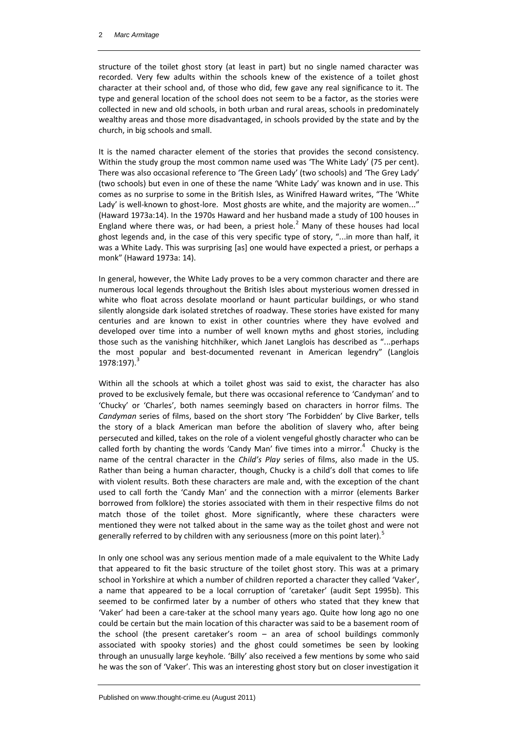structure of the toilet ghost story (at least in part) but no single named character was recorded. Very few adults within the schools knew of the existence of a toilet ghost character at their school and, of those who did, few gave any real significance to it. The type and general location of the school does not seem to be a factor, as the stories were collected in new and old schools, in both urban and rural areas, schools in predominately wealthy areas and those more disadvantaged, in schools provided by the state and by the church, in big schools and small.

It is the named character element of the stories that provides the second consistency. Within the study group the most common name used was 'The White Lady' (75 per cent). There was also occasional reference to 'The Green Lady' (two schools) and 'The Grey Lady' (two schools) but even in one of these the name 'White Lady' was known and in use. This comes as no surprise to some in the British Isles, as Winifred Haward writes, "The 'White Lady' is well-known to ghost-lore. Most ghosts are white, and the majority are women..." (Haward 1973a:14). In the 1970s Haward and her husband made a study of 100 houses in England where there was, or had been, a priest hole.<sup>2</sup> Many of these houses had local ghost legends and, in the case of this very specific type of story, "...in more than half, it was a White Lady. This was surprising [as] one would have expected a priest, or perhaps a monk" (Haward 1973a: 14).

In general, however, the White Lady proves to be a very common character and there are numerous local legends throughout the British Isles about mysterious women dressed in white who float across desolate moorland or haunt particular buildings, or who stand silently alongside dark isolated stretches of roadway. These stories have existed for many centuries and are known to exist in other countries where they have evolved and developed over time into a number of well known myths and ghost stories, including those such as the vanishing hitchhiker, which Janet Langlois has described as "...perhaps the most popular and best-documented revenant in American legendry" (Langlois 1978:197).

Within all the schools at which a toilet ghost was said to exist, the character has also proved to be exclusively female, but there was occasional reference to 'Candyman' and to 'Chucky' or 'Charles', both names seemingly based on characters in horror films. The *Candyman* series of films, based on the short story 'The Forbidden' by Clive Barker, tells the story of a black American man before the abolition of slavery who, after being persecuted and killed, takes on the role of a violent vengeful ghostly character who can be called forth by chanting the words 'Candy Man' five times into a mirror. $4$  Chucky is the name of the central character in the *Child's Play* series of films, also made in the US. Rather than being a human character, though, Chucky is a child's doll that comes to life with violent results. Both these characters are male and, with the exception of the chant used to call forth the 'Candy Man' and the connection with a mirror (elements Barker borrowed from folklore) the stories associated with them in their respective films do not match those of the toilet ghost. More significantly, where these characters were mentioned they were not talked about in the same way as the toilet ghost and were not generally referred to by children with any seriousness (more on this point later).<sup>5</sup>

In only one school was any serious mention made of a male equivalent to the White Lady that appeared to fit the basic structure of the toilet ghost story. This was at a primary school in Yorkshire at which a number of children reported a character they called 'Vaker', a name that appeared to be a local corruption of 'caretaker' (audit Sept 1995b). This seemed to be confirmed later by a number of others who stated that they knew that 'Vaker' had been a care-taker at the school many years ago. Quite how long ago no one could be certain but the main location of this character was said to be a basement room of the school (the present caretaker's room – an area of school buildings commonly associated with spooky stories) and the ghost could sometimes be seen by looking through an unusually large keyhole. 'Billy' also received a few mentions by some who said he was the son of 'Vaker'. This was an interesting ghost story but on closer investigation it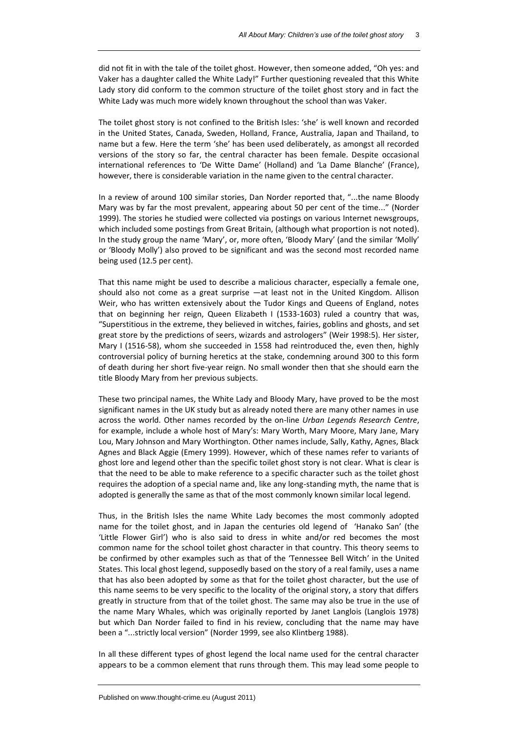did not fit in with the tale of the toilet ghost. However, then someone added, "Oh yes: and Vaker has a daughter called the White Lady!" Further questioning revealed that this White Lady story did conform to the common structure of the toilet ghost story and in fact the White Lady was much more widely known throughout the school than was Vaker.

The toilet ghost story is not confined to the British Isles: 'she' is well known and recorded in the United States, Canada, Sweden, Holland, France, Australia, Japan and Thailand, to name but a few. Here the term 'she' has been used deliberately, as amongst all recorded versions of the story so far, the central character has been female. Despite occasional international references to 'De Witte Dame' (Holland) and 'La Dame Blanche' (France), however, there is considerable variation in the name given to the central character.

In a review of around 100 similar stories, Dan Norder reported that, "...the name Bloody Mary was by far the most prevalent, appearing about 50 per cent of the time..." (Norder 1999). The stories he studied were collected via postings on various Internet newsgroups, which included some postings from Great Britain, (although what proportion is not noted). In the study group the name 'Mary', or, more often, 'Bloody Mary' (and the similar 'Molly' or 'Bloody Molly') also proved to be significant and was the second most recorded name being used (12.5 per cent).

That this name might be used to describe a malicious character, especially a female one, should also not come as a great surprise —at least not in the United Kingdom. Allison Weir, who has written extensively about the Tudor Kings and Queens of England, notes that on beginning her reign, Queen Elizabeth I (1533-1603) ruled a country that was, "Superstitious in the extreme, they believed in witches, fairies, goblins and ghosts, and set great store by the predictions of seers, wizards and astrologers" (Weir 1998:5). Her sister, Mary I (1516-58), whom she succeeded in 1558 had reintroduced the, even then, highly controversial policy of burning heretics at the stake, condemning around 300 to this form of death during her short five-year reign. No small wonder then that she should earn the title Bloody Mary from her previous subjects.

These two principal names, the White Lady and Bloody Mary, have proved to be the most significant names in the UK study but as already noted there are many other names in use across the world. Other names recorded by the on-line *Urban Legends Research Centre*, for example, include a whole host of Mary's: Mary Worth, Mary Moore, Mary Jane, Mary Lou, Mary Johnson and Mary Worthington. Other names include, Sally, Kathy, Agnes, Black Agnes and Black Aggie (Emery 1999). However, which of these names refer to variants of ghost lore and legend other than the specific toilet ghost story is not clear. What is clear is that the need to be able to make reference to a specific character such as the toilet ghost requires the adoption of a special name and, like any long-standing myth, the name that is adopted is generally the same as that of the most commonly known similar local legend.

Thus, in the British Isles the name White Lady becomes the most commonly adopted name for the toilet ghost, and in Japan the centuries old legend of 'Hanako San' (the 'Little Flower Girl') who is also said to dress in white and/or red becomes the most common name for the school toilet ghost character in that country. This theory seems to be confirmed by other examples such as that of the 'Tennessee Bell Witch' in the United States. This local ghost legend, supposedly based on the story of a real family, uses a name that has also been adopted by some as that for the toilet ghost character, but the use of this name seems to be very specific to the locality of the original story, a story that differs greatly in structure from that of the toilet ghost. The same may also be true in the use of the name Mary Whales, which was originally reported by Janet Langlois (Langlois 1978) but which Dan Norder failed to find in his review, concluding that the name may have been a "...strictly local version" (Norder 1999, see also Klintberg 1988).

In all these different types of ghost legend the local name used for the central character appears to be a common element that runs through them. This may lead some people to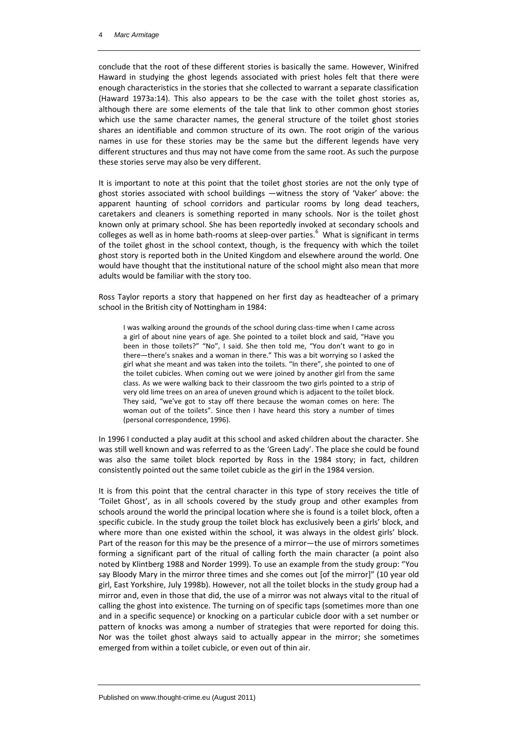conclude that the root of these different stories is basically the same. However, Winifred Haward in studying the ghost legends associated with priest holes felt that there were enough characteristics in the stories that she collected to warrant a separate classification (Haward 1973a:14). This also appears to be the case with the toilet ghost stories as, although there are some elements of the tale that link to other common ghost stories which use the same character names, the general structure of the toilet ghost stories shares an identifiable and common structure of its own. The root origin of the various names in use for these stories may be the same but the different legends have very different structures and thus may not have come from the same root. As such the purpose these stories serve may also be very different.

It is important to note at this point that the toilet ghost stories are not the only type of ghost stories associated with school buildings —witness the story of 'Vaker' above: the apparent haunting of school corridors and particular rooms by long dead teachers, caretakers and cleaners is something reported in many schools. Nor is the toilet ghost known only at primary school. She has been reportedly invoked at secondary schools and colleges as well as in home bath-rooms at sleep-over parties.<sup>6</sup> What is significant in terms of the toilet ghost in the school context, though, is the frequency with which the toilet ghost story is reported both in the United Kingdom and elsewhere around the world. One would have thought that the institutional nature of the school might also mean that more adults would be familiar with the story too.

Ross Taylor reports a story that happened on her first day as headteacher of a primary school in the British city of Nottingham in 1984:

I was walking around the grounds of the school during class-time when I came across a girl of about nine years of age. She pointed to a toilet block and said, "Have you been in those toilets?" "No", I said. She then told me, "You don't want to go in there—there's snakes and a woman in there." This was a bit worrying so I asked the girl what she meant and was taken into the toilets. "In there", she pointed to one of the toilet cubicles. When coming out we were joined by another girl from the same class. As we were walking back to their classroom the two girls pointed to a strip of very old lime trees on an area of uneven ground which is adjacent to the toilet block. They said, "we've got to stay off there because the woman comes on here: The woman out of the toilets". Since then I have heard this story a number of times (personal correspondence, 1996).

In 1996 I conducted a play audit at this school and asked children about the character. She was still well known and was referred to as the 'Green Lady'. The place she could be found was also the same toilet block reported by Ross in the 1984 story; in fact, children consistently pointed out the same toilet cubicle as the girl in the 1984 version.

It is from this point that the central character in this type of story receives the title of 'Toilet Ghost', as in all schools covered by the study group and other examples from schools around the world the principal location where she is found is a toilet block, often a specific cubicle. In the study group the toilet block has exclusively been a girls' block, and where more than one existed within the school, it was always in the oldest girls' block. Part of the reason for this may be the presence of a mirror—the use of mirrors sometimes forming a significant part of the ritual of calling forth the main character (a point also noted by Klintberg 1988 and Norder 1999). To use an example from the study group: "You say Bloody Mary in the mirror three times and she comes out [of the mirror]" (10 year old girl, East Yorkshire, July 1998b). However, not all the toilet blocks in the study group had a mirror and, even in those that did, the use of a mirror was not always vital to the ritual of calling the ghost into existence. The turning on of specific taps (sometimes more than one and in a specific sequence) or knocking on a particular cubicle door with a set number or pattern of knocks was among a number of strategies that were reported for doing this. Nor was the toilet ghost always said to actually appear in the mirror; she sometimes emerged from within a toilet cubicle, or even out of thin air.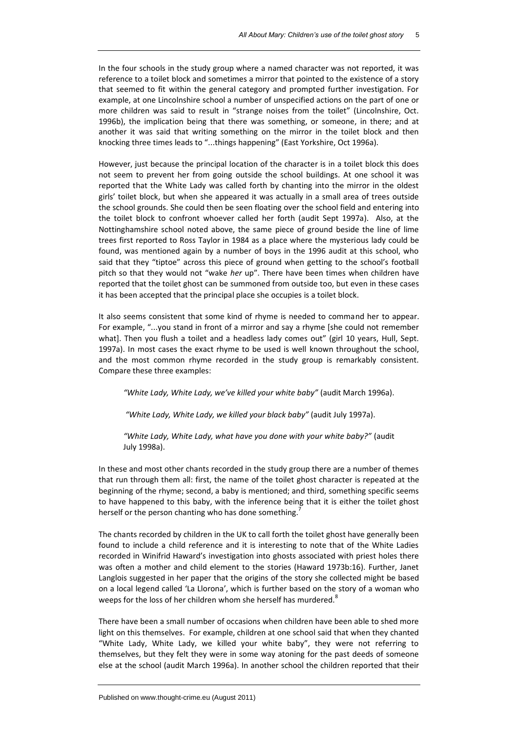In the four schools in the study group where a named character was not reported, it was reference to a toilet block and sometimes a mirror that pointed to the existence of a story that seemed to fit within the general category and prompted further investigation. For example, at one Lincolnshire school a number of unspecified actions on the part of one or more children was said to result in "strange noises from the toilet" (Lincolnshire, Oct. 1996b), the implication being that there was something, or someone, in there; and at another it was said that writing something on the mirror in the toilet block and then knocking three times leads to "...things happening" (East Yorkshire, Oct 1996a).

However, just because the principal location of the character is in a toilet block this does not seem to prevent her from going outside the school buildings. At one school it was reported that the White Lady was called forth by chanting into the mirror in the oldest girls' toilet block, but when she appeared it was actually in a small area of trees outside the school grounds. She could then be seen floating over the school field and entering into the toilet block to confront whoever called her forth (audit Sept 1997a). Also, at the Nottinghamshire school noted above, the same piece of ground beside the line of lime trees first reported to Ross Taylor in 1984 as a place where the mysterious lady could be found, was mentioned again by a number of boys in the 1996 audit at this school, who said that they "tiptoe" across this piece of ground when getting to the school's football pitch so that they would not "wake *her* up". There have been times when children have reported that the toilet ghost can be summoned from outside too, but even in these cases it has been accepted that the principal place she occupies is a toilet block.

It also seems consistent that some kind of rhyme is needed to command her to appear. For example, "...you stand in front of a mirror and say a rhyme [she could not remember what]. Then you flush a toilet and a headless lady comes out" (girl 10 years, Hull, Sept. 1997a). In most cases the exact rhyme to be used is well known throughout the school, and the most common rhyme recorded in the study group is remarkably consistent. Compare these three examples:

*"White Lady, White Lady, we've killed your white baby"* (audit March 1996a).

*"White Lady, White Lady, we killed your black baby"* (audit July 1997a).

*"White Lady, White Lady, what have you done with your white baby?"* (audit July 1998a).

In these and most other chants recorded in the study group there are a number of themes that run through them all: first, the name of the toilet ghost character is repeated at the beginning of the rhyme; second, a baby is mentioned; and third, something specific seems to have happened to this baby, with the inference being that it is either the toilet ghost herself or the person chanting who has done something.

The chants recorded by children in the UK to call forth the toilet ghost have generally been found to include a child reference and it is interesting to note that of the White Ladies recorded in Winifrid Haward's investigation into ghosts associated with priest holes there was often a mother and child element to the stories (Haward 1973b:16). Further, Janet Langlois suggested in her paper that the origins of the story she collected might be based on a local legend called 'La Llorona', which is further based on the story of a woman who weeps for the loss of her children whom she herself has murdered.<sup>8</sup>

There have been a small number of occasions when children have been able to shed more light on this themselves. For example, children at one school said that when they chanted "White Lady, White Lady, we killed your white baby", they were not referring to themselves, but they felt they were in some way atoning for the past deeds of someone else at the school (audit March 1996a). In another school the children reported that their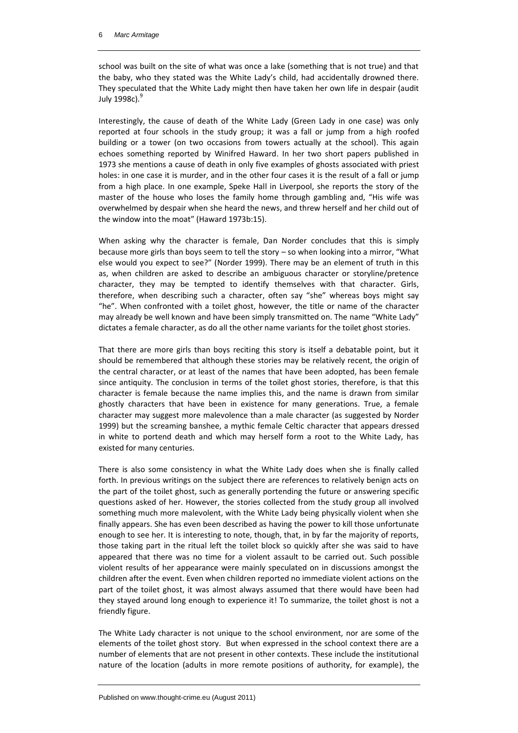school was built on the site of what was once a lake (something that is not true) and that the baby, who they stated was the White Lady's child, had accidentally drowned there. They speculated that the White Lady might then have taken her own life in despair (audit July 1998c). $9$ 

Interestingly, the cause of death of the White Lady (Green Lady in one case) was only reported at four schools in the study group; it was a fall or jump from a high roofed building or a tower (on two occasions from towers actually at the school). This again echoes something reported by Winifred Haward. In her two short papers published in 1973 she mentions a cause of death in only five examples of ghosts associated with priest holes: in one case it is murder, and in the other four cases it is the result of a fall or jump from a high place. In one example, Speke Hall in Liverpool, she reports the story of the master of the house who loses the family home through gambling and, "His wife was overwhelmed by despair when she heard the news, and threw herself and her child out of the window into the moat" (Haward 1973b:15).

When asking why the character is female, Dan Norder concludes that this is simply because more girls than boys seem to tell the story – so when looking into a mirror, "What else would you expect to see?" (Norder 1999). There may be an element of truth in this as, when children are asked to describe an ambiguous character or storyline/pretence character, they may be tempted to identify themselves with that character. Girls, therefore, when describing such a character, often say "she" whereas boys might say "he". When confronted with a toilet ghost, however, the title or name of the character may already be well known and have been simply transmitted on. The name "White Lady" dictates a female character, as do all the other name variants for the toilet ghost stories.

That there are more girls than boys reciting this story is itself a debatable point, but it should be remembered that although these stories may be relatively recent, the origin of the central character, or at least of the names that have been adopted, has been female since antiquity. The conclusion in terms of the toilet ghost stories, therefore, is that this character is female because the name implies this, and the name is drawn from similar ghostly characters that have been in existence for many generations. True, a female character may suggest more malevolence than a male character (as suggested by Norder 1999) but the screaming banshee, a mythic female Celtic character that appears dressed in white to portend death and which may herself form a root to the White Lady, has existed for many centuries.

There is also some consistency in what the White Lady does when she is finally called forth. In previous writings on the subject there are references to relatively benign acts on the part of the toilet ghost, such as generally portending the future or answering specific questions asked of her. However, the stories collected from the study group all involved something much more malevolent, with the White Lady being physically violent when she finally appears. She has even been described as having the power to kill those unfortunate enough to see her. It is interesting to note, though, that, in by far the majority of reports, those taking part in the ritual left the toilet block so quickly after she was said to have appeared that there was no time for a violent assault to be carried out. Such possible violent results of her appearance were mainly speculated on in discussions amongst the children after the event. Even when children reported no immediate violent actions on the part of the toilet ghost, it was almost always assumed that there would have been had they stayed around long enough to experience it! To summarize, the toilet ghost is not a friendly figure.

The White Lady character is not unique to the school environment, nor are some of the elements of the toilet ghost story. But when expressed in the school context there are a number of elements that are not present in other contexts. These include the institutional nature of the location (adults in more remote positions of authority, for example), the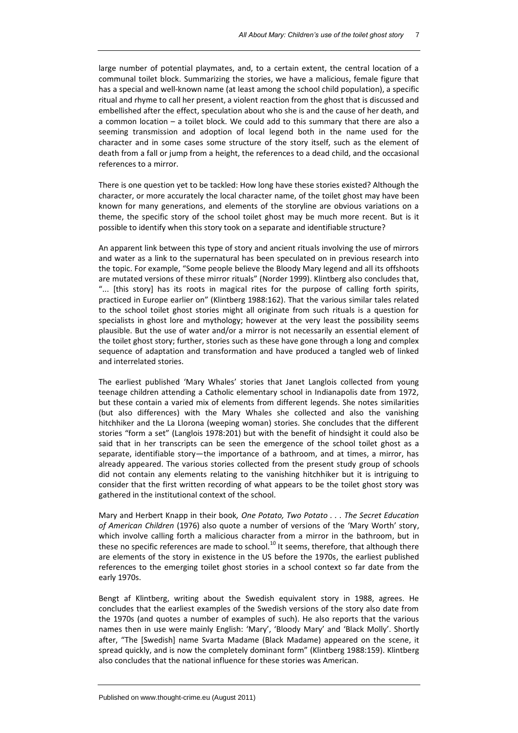large number of potential playmates, and, to a certain extent, the central location of a communal toilet block. Summarizing the stories, we have a malicious, female figure that has a special and well-known name (at least among the school child population), a specific ritual and rhyme to call her present, a violent reaction from the ghost that is discussed and embellished after the effect, speculation about who she is and the cause of her death, and a common location – a toilet block. We could add to this summary that there are also a seeming transmission and adoption of local legend both in the name used for the character and in some cases some structure of the story itself, such as the element of death from a fall or jump from a height, the references to a dead child, and the occasional references to a mirror.

There is one question yet to be tackled: How long have these stories existed? Although the character, or more accurately the local character name, of the toilet ghost may have been known for many generations, and elements of the storyline are obvious variations on a theme, the specific story of the school toilet ghost may be much more recent. But is it possible to identify when this story took on a separate and identifiable structure?

An apparent link between this type of story and ancient rituals involving the use of mirrors and water as a link to the supernatural has been speculated on in previous research into the topic. For example, "Some people believe the Bloody Mary legend and all its offshoots are mutated versions of these mirror rituals" (Norder 1999). Klintberg also concludes that, "... [this story] has its roots in magical rites for the purpose of calling forth spirits, practiced in Europe earlier on" (Klintberg 1988:162). That the various similar tales related to the school toilet ghost stories might all originate from such rituals is a question for specialists in ghost lore and mythology; however at the very least the possibility seems plausible. But the use of water and/or a mirror is not necessarily an essential element of the toilet ghost story; further, stories such as these have gone through a long and complex sequence of adaptation and transformation and have produced a tangled web of linked and interrelated stories.

The earliest published 'Mary Whales' stories that Janet Langlois collected from young teenage children attending a Catholic elementary school in Indianapolis date from 1972, but these contain a varied mix of elements from different legends. She notes similarities (but also differences) with the Mary Whales she collected and also the vanishing hitchhiker and the La Llorona (weeping woman) stories. She concludes that the different stories "form a set" (Langlois 1978:201) but with the benefit of hindsight it could also be said that in her transcripts can be seen the emergence of the school toilet ghost as a separate, identifiable story—the importance of a bathroom, and at times, a mirror, has already appeared. The various stories collected from the present study group of schools did not contain any elements relating to the vanishing hitchhiker but it is intriguing to consider that the first written recording of what appears to be the toilet ghost story was gathered in the institutional context of the school.

Mary and Herbert Knapp in their book*, One Potato, Two Potato . . . The Secret Education of American Children* (1976) also quote a number of versions of the 'Mary Worth' story, which involve calling forth a malicious character from a mirror in the bathroom, but in these no specific references are made to school.<sup>10</sup> It seems, therefore, that although there are elements of the story in existence in the US before the 1970s, the earliest published references to the emerging toilet ghost stories in a school context so far date from the early 1970s.

Bengt af Klintberg, writing about the Swedish equivalent story in 1988, agrees. He concludes that the earliest examples of the Swedish versions of the story also date from the 1970s (and quotes a number of examples of such). He also reports that the various names then in use were mainly English: 'Mary', 'Bloody Mary' and 'Black Molly'. Shortly after, "The [Swedish] name Svarta Madame (Black Madame) appeared on the scene, it spread quickly, and is now the completely dominant form" (Klintberg 1988:159). Klintberg also concludes that the national influence for these stories was American.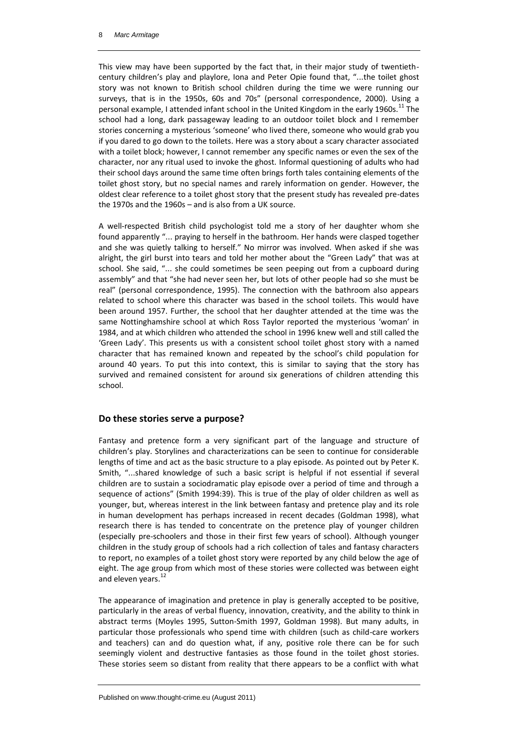This view may have been supported by the fact that, in their major study of twentiethcentury children's play and playlore, Iona and Peter Opie found that, "...the toilet ghost story was not known to British school children during the time we were running our surveys, that is in the 1950s, 60s and 70s" (personal correspondence, 2000). Using a personal example, I attended infant school in the United Kingdom in the early 1960s.<sup>11</sup> The school had a long, dark passageway leading to an outdoor toilet block and I remember stories concerning a mysterious 'someone' who lived there, someone who would grab you if you dared to go down to the toilets. Here was a story about a scary character associated with a toilet block; however, I cannot remember any specific names or even the sex of the character, nor any ritual used to invoke the ghost. Informal questioning of adults who had their school days around the same time often brings forth tales containing elements of the toilet ghost story, but no special names and rarely information on gender. However, the oldest clear reference to a toilet ghost story that the present study has revealed pre-dates the 1970s and the 1960s – and is also from a UK source.

A well-respected British child psychologist told me a story of her daughter whom she found apparently "... praying to herself in the bathroom. Her hands were clasped together and she was quietly talking to herself." No mirror was involved. When asked if she was alright, the girl burst into tears and told her mother about the "Green Lady" that was at school. She said, "... she could sometimes be seen peeping out from a cupboard during assembly" and that "she had never seen her, but lots of other people had so she must be real" (personal correspondence, 1995). The connection with the bathroom also appears related to school where this character was based in the school toilets. This would have been around 1957. Further, the school that her daughter attended at the time was the same Nottinghamshire school at which Ross Taylor reported the mysterious 'woman' in 1984, and at which children who attended the school in 1996 knew well and still called the 'Green Lady'. This presents us with a consistent school toilet ghost story with a named character that has remained known and repeated by the school's child population for around 40 years. To put this into context, this is similar to saying that the story has survived and remained consistent for around six generations of children attending this school.

### **Do these stories serve a purpose?**

Fantasy and pretence form a very significant part of the language and structure of children's play. Storylines and characterizations can be seen to continue for considerable lengths of time and act as the basic structure to a play episode. As pointed out by Peter K. Smith, "...shared knowledge of such a basic script is helpful if not essential if several children are to sustain a sociodramatic play episode over a period of time and through a sequence of actions" (Smith 1994:39). This is true of the play of older children as well as younger, but, whereas interest in the link between fantasy and pretence play and its role in human development has perhaps increased in recent decades (Goldman 1998), what research there is has tended to concentrate on the pretence play of younger children (especially pre-schoolers and those in their first few years of school). Although younger children in the study group of schools had a rich collection of tales and fantasy characters to report, no examples of a toilet ghost story were reported by any child below the age of eight. The age group from which most of these stories were collected was between eight and eleven years. $12$ 

The appearance of imagination and pretence in play is generally accepted to be positive, particularly in the areas of verbal fluency, innovation, creativity, and the ability to think in abstract terms (Moyles 1995, Sutton-Smith 1997, Goldman 1998). But many adults, in particular those professionals who spend time with children (such as child-care workers and teachers) can and do question what, if any, positive role there can be for such seemingly violent and destructive fantasies as those found in the toilet ghost stories. These stories seem so distant from reality that there appears to be a conflict with what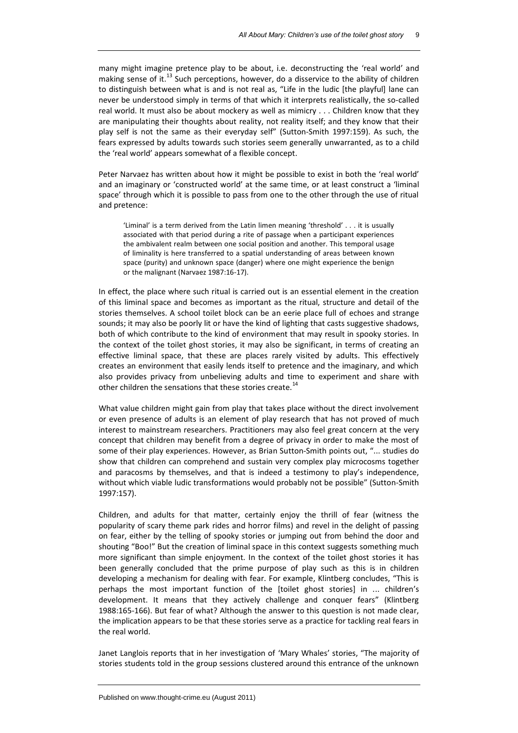many might imagine pretence play to be about, i.e. deconstructing the 'real world' and making sense of it. $^{13}$  Such perceptions, however, do a disservice to the ability of children to distinguish between what is and is not real as, "Life in the ludic [the playful] lane can never be understood simply in terms of that which it interprets realistically, the so-called real world. It must also be about mockery as well as mimicry . . . Children know that they are manipulating their thoughts about reality, not reality itself; and they know that their play self is not the same as their everyday self" (Sutton-Smith 1997:159). As such, the fears expressed by adults towards such stories seem generally unwarranted, as to a child the 'real world' appears somewhat of a flexible concept.

Peter Narvaez has written about how it might be possible to exist in both the 'real world' and an imaginary or 'constructed world' at the same time, or at least construct a 'liminal space' through which it is possible to pass from one to the other through the use of ritual and pretence:

'Liminal' is a term derived from the Latin limen meaning 'threshold' . . . it is usually associated with that period during a rite of passage when a participant experiences the ambivalent realm between one social position and another. This temporal usage of liminality is here transferred to a spatial understanding of areas between known space (purity) and unknown space (danger) where one might experience the benign or the malignant (Narvaez 1987:16-17).

In effect, the place where such ritual is carried out is an essential element in the creation of this liminal space and becomes as important as the ritual, structure and detail of the stories themselves. A school toilet block can be an eerie place full of echoes and strange sounds; it may also be poorly lit or have the kind of lighting that casts suggestive shadows, both of which contribute to the kind of environment that may result in spooky stories. In the context of the toilet ghost stories, it may also be significant, in terms of creating an effective liminal space, that these are places rarely visited by adults. This effectively creates an environment that easily lends itself to pretence and the imaginary, and which also provides privacy from unbelieving adults and time to experiment and share with other children the sensations that these stories create.<sup>14</sup>

What value children might gain from play that takes place without the direct involvement or even presence of adults is an element of play research that has not proved of much interest to mainstream researchers. Practitioners may also feel great concern at the very concept that children may benefit from a degree of privacy in order to make the most of some of their play experiences. However, as Brian Sutton-Smith points out, "... studies do show that children can comprehend and sustain very complex play microcosms together and paracosms by themselves, and that is indeed a testimony to play's independence, without which viable ludic transformations would probably not be possible" (Sutton-Smith 1997:157).

Children, and adults for that matter, certainly enjoy the thrill of fear (witness the popularity of scary theme park rides and horror films) and revel in the delight of passing on fear, either by the telling of spooky stories or jumping out from behind the door and shouting "Boo!" But the creation of liminal space in this context suggests something much more significant than simple enjoyment. In the context of the toilet ghost stories it has been generally concluded that the prime purpose of play such as this is in children developing a mechanism for dealing with fear. For example, Klintberg concludes, "This is perhaps the most important function of the [toilet ghost stories] in ... children's development. It means that they actively challenge and conquer fears" (Klintberg 1988:165-166). But fear of what? Although the answer to this question is not made clear, the implication appears to be that these stories serve as a practice for tackling real fears in the real world.

Janet Langlois reports that in her investigation of 'Mary Whales' stories, "The majority of stories students told in the group sessions clustered around this entrance of the unknown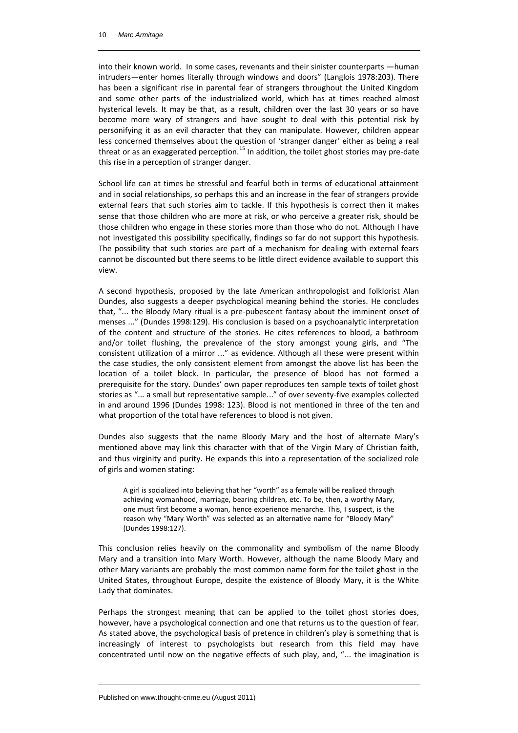into their known world. In some cases, revenants and their sinister counterparts —human intruders—enter homes literally through windows and doors" (Langlois 1978:203). There has been a significant rise in parental fear of strangers throughout the United Kingdom and some other parts of the industrialized world, which has at times reached almost hysterical levels. It may be that, as a result, children over the last 30 years or so have become more wary of strangers and have sought to deal with this potential risk by personifying it as an evil character that they can manipulate. However, children appear less concerned themselves about the question of 'stranger danger' either as being a real threat or as an exaggerated perception.<sup>15</sup> In addition, the toilet ghost stories may pre-date this rise in a perception of stranger danger.

School life can at times be stressful and fearful both in terms of educational attainment and in social relationships, so perhaps this and an increase in the fear of strangers provide external fears that such stories aim to tackle. If this hypothesis is correct then it makes sense that those children who are more at risk, or who perceive a greater risk, should be those children who engage in these stories more than those who do not. Although I have not investigated this possibility specifically, findings so far do not support this hypothesis. The possibility that such stories are part of a mechanism for dealing with external fears cannot be discounted but there seems to be little direct evidence available to support this view.

A second hypothesis, proposed by the late American anthropologist and folklorist Alan Dundes, also suggests a deeper psychological meaning behind the stories. He concludes that, "... the Bloody Mary ritual is a pre-pubescent fantasy about the imminent onset of menses ..." (Dundes 1998:129). His conclusion is based on a psychoanalytic interpretation of the content and structure of the stories. He cites references to blood, a bathroom and/or toilet flushing, the prevalence of the story amongst young girls, and "The consistent utilization of a mirror ..." as evidence. Although all these were present within the case studies, the only consistent element from amongst the above list has been the location of a toilet block. In particular, the presence of blood has not formed a prerequisite for the story. Dundes' own paper reproduces ten sample texts of toilet ghost stories as "... a small but representative sample..." of over seventy-five examples collected in and around 1996 (Dundes 1998: 123). Blood is not mentioned in three of the ten and what proportion of the total have references to blood is not given.

Dundes also suggests that the name Bloody Mary and the host of alternate Mary's mentioned above may link this character with that of the Virgin Mary of Christian faith, and thus virginity and purity. He expands this into a representation of the socialized role of girls and women stating:

A girl is socialized into believing that her "worth" as a female will be realized through achieving womanhood, marriage, bearing children, etc. To be, then, a worthy Mary, one must first become a woman, hence experience menarche. This, I suspect, is the reason why "Mary Worth" was selected as an alternative name for "Bloody Mary" (Dundes 1998:127).

This conclusion relies heavily on the commonality and symbolism of the name Bloody Mary and a transition into Mary Worth. However, although the name Bloody Mary and other Mary variants are probably the most common name form for the toilet ghost in the United States, throughout Europe, despite the existence of Bloody Mary, it is the White Lady that dominates.

Perhaps the strongest meaning that can be applied to the toilet ghost stories does, however, have a psychological connection and one that returns us to the question of fear. As stated above, the psychological basis of pretence in children's play is something that is increasingly of interest to psychologists but research from this field may have concentrated until now on the negative effects of such play, and, "... the imagination is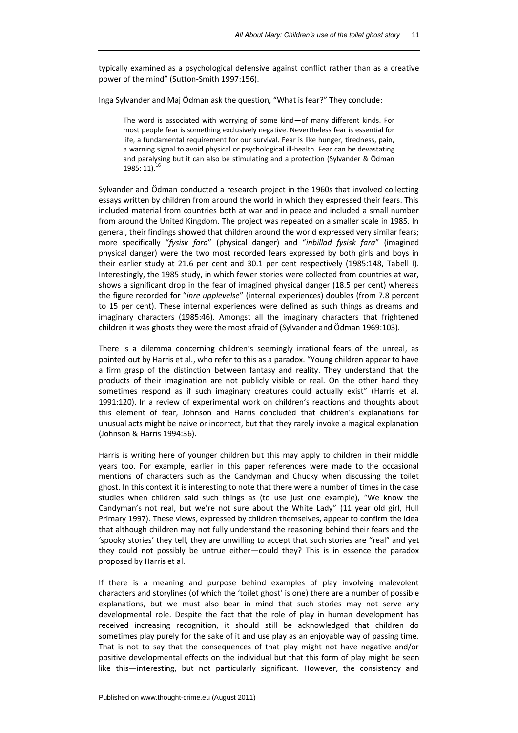typically examined as a psychological defensive against conflict rather than as a creative power of the mind" (Sutton-Smith 1997:156).

Inga Sylvander and Maj Ödman ask the question, "What is fear?" They conclude:

The word is associated with worrying of some kind—of many different kinds. For most people fear is something exclusively negative. Nevertheless fear is essential for life, a fundamental requirement for our survival. Fear is like hunger, tiredness, pain, a warning signal to avoid physical or psychological ill-health. Fear can be devastating and paralysing but it can also be stimulating and a protection (Sylvander & Ödman 1985: 11). $^{16}$ 

Sylvander and Ödman conducted a research project in the 1960s that involved collecting essays written by children from around the world in which they expressed their fears. This included material from countries both at war and in peace and included a small number from around the United Kingdom. The project was repeated on a smaller scale in 1985. In general, their findings showed that children around the world expressed very similar fears; more specifically "*fysisk fara*" (physical danger) and "*inbillad fysisk fara*" (imagined physical danger) were the two most recorded fears expressed by both girls and boys in their earlier study at 21.6 per cent and 30.1 per cent respectively (1985:148, Tabell I). Interestingly, the 1985 study, in which fewer stories were collected from countries at war, shows a significant drop in the fear of imagined physical danger (18.5 per cent) whereas the figure recorded for "*inre upplevelse*" (internal experiences) doubles (from 7.8 percent to 15 per cent). These internal experiences were defined as such things as dreams and imaginary characters (1985:46). Amongst all the imaginary characters that frightened children it was ghosts they were the most afraid of (Sylvander and Ödman 1969:103).

There is a dilemma concerning children's seemingly irrational fears of the unreal, as pointed out by Harris et al., who refer to this as a paradox. "Young children appear to have a firm grasp of the distinction between fantasy and reality. They understand that the products of their imagination are not publicly visible or real. On the other hand they sometimes respond as if such imaginary creatures could actually exist" (Harris et al. 1991:120). In a review of experimental work on children's reactions and thoughts about this element of fear, Johnson and Harris concluded that children's explanations for unusual acts might be naive or incorrect, but that they rarely invoke a magical explanation (Johnson & Harris 1994:36).

Harris is writing here of younger children but this may apply to children in their middle years too. For example, earlier in this paper references were made to the occasional mentions of characters such as the Candyman and Chucky when discussing the toilet ghost. In this context it is interesting to note that there were a number of times in the case studies when children said such things as (to use just one example), "We know the Candyman's not real, but we're not sure about the White Lady" (11 year old girl, Hull Primary 1997). These views, expressed by children themselves, appear to confirm the idea that although children may not fully understand the reasoning behind their fears and the 'spooky stories' they tell, they are unwilling to accept that such stories are "real" and yet they could not possibly be untrue either—could they? This is in essence the paradox proposed by Harris et al.

If there is a meaning and purpose behind examples of play involving malevolent characters and storylines (of which the 'toilet ghost' is one) there are a number of possible explanations, but we must also bear in mind that such stories may not serve any developmental role. Despite the fact that the role of play in human development has received increasing recognition, it should still be acknowledged that children do sometimes play purely for the sake of it and use play as an enjoyable way of passing time. That is not to say that the consequences of that play might not have negative and/or positive developmental effects on the individual but that this form of play might be seen like this—interesting, but not particularly significant. However, the consistency and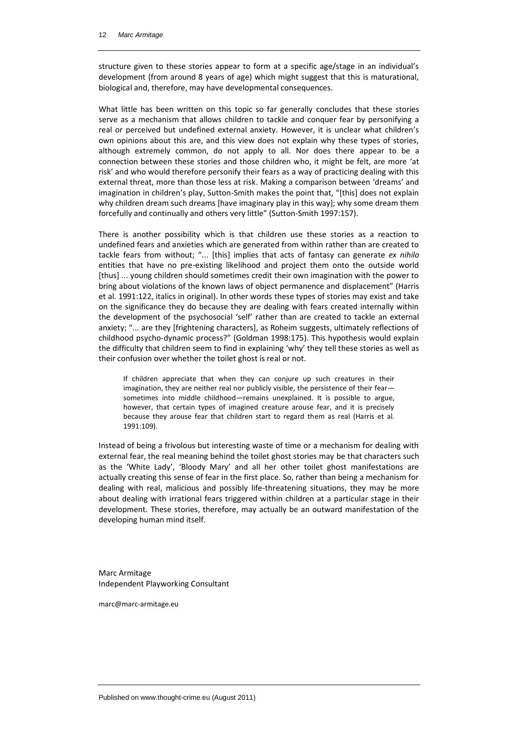structure given to these stories appear to form at a specific age/stage in an individual's development (from around 8 years of age) which might suggest that this is maturational, biological and, therefore, may have developmental consequences.

What little has been written on this topic so far generally concludes that these stories serve as a mechanism that allows children to tackle and conquer fear by personifying a real or perceived but undefined external anxiety. However, it is unclear what children's own opinions about this are, and this view does not explain why these types of stories, although extremely common, do not apply to all. Nor does there appear to be a connection between these stories and those children who, it might be felt, are more 'at risk' and who would therefore personify their fears as a way of practicing dealing with this external threat, more than those less at risk. Making a comparison between 'dreams' and imagination in children's play, Sutton-Smith makes the point that, "[this] does not explain why children dream such dreams [have imaginary play in this way]; why some dream them forcefully and continually and others very little" (Sutton-Smith 1997:157).

There is another possibility which is that children use these stories as a reaction to undefined fears and anxieties which are generated from within rather than are created to tackle fears from without; "... [this] implies that acts of fantasy can generate *ex nihilo*  entities that have no pre-existing likelihood and project them onto the outside world [thus] ... young children should sometimes credit their own imagination with the power to bring about violations of the known laws of object permanence and displacement" (Harris et al. 1991:122, italics in original). In other words these types of stories may exist and take on the significance they do because they are dealing with fears created internally within the development of the psychosocial 'self' rather than are created to tackle an external anxiety; "... are they [frightening characters], as Roheim suggests, ultimately reflections of childhood psycho-dynamic process?" (Goldman 1998:175). This hypothesis would explain the difficulty that children seem to find in explaining 'why' they tell these stories as well as their confusion over whether the toilet ghost is real or not.

If children appreciate that when they can conjure up such creatures in their imagination, they are neither real nor publicly visible, the persistence of their fear sometimes into middle childhood—remains unexplained. It is possible to argue, however, that certain types of imagined creature arouse fear, and it is precisely because they arouse fear that children start to regard them as real (Harris et al. 1991:109).

Instead of being a frivolous but interesting waste of time or a mechanism for dealing with external fear, the real meaning behind the toilet ghost stories may be that characters such as the 'White Lady', 'Bloody Mary' and all her other toilet ghost manifestations are actually creating this sense of fear in the first place. So, rather than being a mechanism for dealing with real, malicious and possibly life-threatening situations, they may be more about dealing with irrational fears triggered within children at a particular stage in their development. These stories, therefore, may actually be an outward manifestation of the developing human mind itself.

Marc Armitage Independent Playworking Consultant

marc@marc-armitage.eu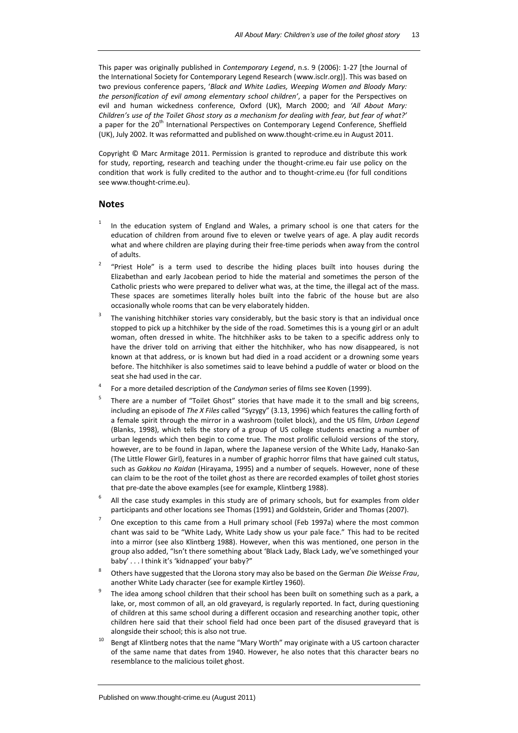This paper was originally published in *Contemporary Legend*, n.s. 9 (2006): 1-27 [the Journal of the International Society for Contemporary Legend Research (www.isclr.org)]. This was based on two previous conference papers, '*Black and White Ladies, Weeping Women and Bloody Mary: the personification of evil among elementary school children'*, a paper for the Perspectives on evil and human wickedness conference, Oxford (UK), March 2000; and *'All About Mary: Children's use of the Toilet Ghost story as a mechanism for dealing with fear, but fear of what?'* a paper for the 20<sup>th</sup> International Perspectives on Contemporary Legend Conference, Sheffield (UK), July 2002. It was reformatted and published on www.thought-crime.eu in August 2011.

Copyright © Marc Armitage 2011. Permission is granted to reproduce and distribute this work for study, reporting, research and teaching under the thought-crime.eu fair use policy on the condition that work is fully credited to the author and to thought-crime.eu (for full conditions see www.thought-crime.eu).

#### **Notes**

- 1 In the education system of England and Wales, a primary school is one that caters for the education of children from around five to eleven or twelve years of age. A play audit records what and where children are playing during their free-time periods when away from the control of adults.
- $2$  "Priest Hole" is a term used to describe the hiding places built into houses during the Elizabethan and early Jacobean period to hide the material and sometimes the person of the Catholic priests who were prepared to deliver what was, at the time, the illegal act of the mass. These spaces are sometimes literally holes built into the fabric of the house but are also occasionally whole rooms that can be very elaborately hidden.
- The vanishing hitchhiker stories vary considerably, but the basic story is that an individual once stopped to pick up a hitchhiker by the side of the road. Sometimes this is a young girl or an adult woman, often dressed in white. The hitchhiker asks to be taken to a specific address only to have the driver told on arriving that either the hitchhiker, who has now disappeared, is not known at that address, or is known but had died in a road accident or a drowning some years before. The hitchhiker is also sometimes said to leave behind a puddle of water or blood on the seat she had used in the car.
- <sup>4</sup>For a more detailed description of the *Candyman* series of films see Koven (1999).
- 5 There are a number of "Toilet Ghost" stories that have made it to the small and big screens, including an episode of *The X Files* called "Syzygy" (3.13, 1996) which features the calling forth of a female spirit through the mirror in a washroom (toilet block), and the US film, *Urban Legend* (Blanks, 1998), which tells the story of a group of US college students enacting a number of urban legends which then begin to come true. The most prolific celluloid versions of the story, however, are to be found in Japan, where the Japanese version of the White Lady, Hanako-San (The Little Flower Girl), features in a number of graphic horror films that have gained cult status, such as *Gakkou no Kaidan* (Hirayama, 1995) and a number of sequels. However, none of these can claim to be the root of the toilet ghost as there are recorded examples of toilet ghost stories that pre-date the above examples (see for example, Klintberg 1988).
- 6 All the case study examples in this study are of primary schools, but for examples from older participants and other locations see Thomas (1991) and Goldstein, Grider and Thomas (2007).
- 7 One exception to this came from a Hull primary school (Feb 1997a) where the most common chant was said to be "White Lady, White Lady show us your pale face." This had to be recited into a mirror (see also Klintberg 1988). However, when this was mentioned, one person in the group also added, "Isn't there something about 'Black Lady, Black Lady, we've somethinged your baby' . . . I think it's 'kidnapped' your baby?"
- 8 Others have suggested that the Llorona story may also be based on the German *Die Weisse Frau*, another White Lady character (see for example Kirtley 1960).
- The idea among school children that their school has been built on something such as a park, a lake, or, most common of all, an old graveyard, is regularly reported. In fact, during questioning of children at this same school during a different occasion and researching another topic, other children here said that their school field had once been part of the disused graveyard that is alongside their school; this is also not true.
- Bengt af Klintberg notes that the name "Mary Worth" may originate with a US cartoon character of the same name that dates from 1940. However, he also notes that this character bears no resemblance to the malicious toilet ghost.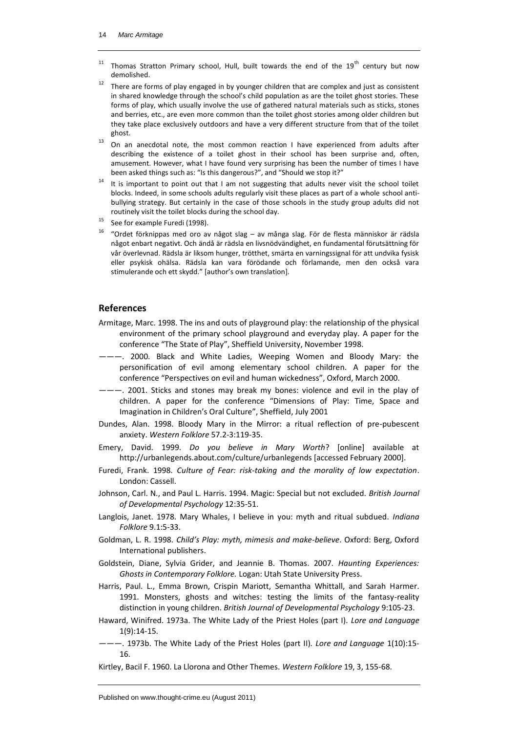- $11$  Thomas Stratton Primary school, Hull, built towards the end of the  $19<sup>th</sup>$  century but now demolished.
- $12$  There are forms of play engaged in by younger children that are complex and just as consistent in shared knowledge through the school's child population as are the toilet ghost stories. These forms of play, which usually involve the use of gathered natural materials such as sticks, stones and berries, etc., are even more common than the toilet ghost stories among older children but they take place exclusively outdoors and have a very different structure from that of the toilet ghost.
- $13$  On an anecdotal note, the most common reaction I have experienced from adults after describing the existence of a toilet ghost in their school has been surprise and, often, amusement. However, what I have found very surprising has been the number of times I have been asked things such as: "Is this dangerous?", and "Should we stop it?"
- $14$  It is important to point out that I am not suggesting that adults never visit the school toilet blocks. Indeed, in some schools adults regularly visit these places as part of a whole school antibullying strategy. But certainly in the case of those schools in the study group adults did not routinely visit the toilet blocks during the school day.
- $15$  See for example Furedi (1998).
- $16$  "Ordet förknippas med oro av något slag av många slag. För de flesta människor är rädsla något enbart negativt. Och ändå är rädsla en livsnödvändighet, en fundamental förutsättning för vår överlevnad. Rädsla är liksom hunger, trötthet, smärta en varningssignal för att undvika fysisk eller psykisk ohälsa. Rädsla kan vara förödande och förlamande, men den också vara stimulerande och ett skydd." [author's own translation].

#### **References**

- Armitage, Marc. 1998. The ins and outs of playground play: the relationship of the physical environment of the primary school playground and everyday play*.* A paper for the conference "The State of Play", Sheffield University, November 1998.
- ———. 2000. Black and White Ladies, Weeping Women and Bloody Mary: the personification of evil among elementary school children. A paper for the conference "Perspectives on evil and human wickedness", Oxford, March 2000.
- ———. 2001. Sticks and stones may break my bones: violence and evil in the play of children. A paper for the conference "Dimensions of Play: Time, Space and Imagination in Children's Oral Culture", Sheffield, July 2001
- Dundes, Alan. 1998. Bloody Mary in the Mirror: a ritual reflection of pre-pubescent anxiety. *Western Folklore* 57.2-3:119-35.
- Emery, David. 1999. *Do you believe in Mary Worth*? [online] available at http://urbanlegends.about.com/culture/urbanlegends [accessed February 2000].
- Furedi, Frank. 1998. *Culture of Fear: risk-taking and the morality of low expectation*. London: Cassell.
- Johnson, Carl. N., and Paul L. Harris. 1994. Magic: Special but not excluded. *British Journal of Developmental Psychology* 12:35-51.
- Langlois, Janet. 1978. Mary Whales, I believe in you: myth and ritual subdued*. Indiana Folklore* 9.1:5-33.
- Goldman, L. R. 1998. *Child's Play: myth, mimesis and make-believe*. Oxford: Berg, Oxford International publishers.
- Goldstein, Diane, Sylvia Grider, and Jeannie B. Thomas. 2007. *Haunting Experiences: Ghosts in Contemporary Folklore.* Logan: Utah State University Press.
- Harris, Paul. L., Emma Brown, Crispin Mariott, Semantha Whittall, and Sarah Harmer. 1991. Monsters, ghosts and witches: testing the limits of the fantasy-reality distinction in young children. *British Journal of Developmental Psychology* 9:105-23.
- Haward, Winifred. 1973a. The White Lady of the Priest Holes (part I). *Lore and Language* 1(9):14-15.
- ———. 1973b. The White Lady of the Priest Holes (part II)*. Lore and Language* 1(10):15- 16.
- Kirtley, Bacil F. 1960. La Llorona and Other Themes. *Western Folklore* 19, 3, 155-68.